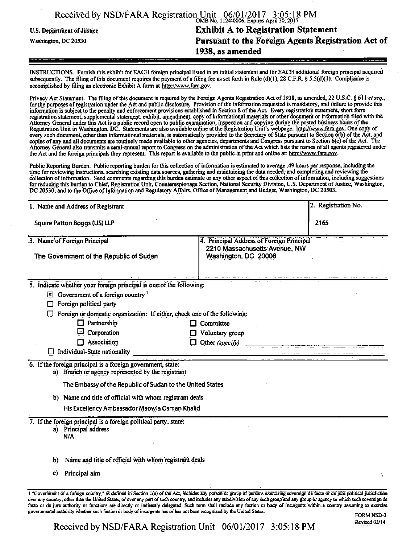|                                   | Received by NSD/FARA Registration Unit 06/01/2017 3:05:18 PM |
|-----------------------------------|--------------------------------------------------------------|
| <b>U.S. Department of Justice</b> | <b>Exhibit A to Registration Statement</b>                   |
| Washington, DC 20530              | Pursuant to the Foreign Agents Registration Act of           |
|                                   | 1938, as amended                                             |

INSTRUCTIONS. Furnish this exhibit for EACH foreign principal listed in an initial statement and for EACH additional foreign principal acquired subsequently. The filing of this document requires the payment of a filing fee as set forth in Rule (d)(1), 28 C.F.R. § 5.5(d)(1). Compliance is accomplished by filing an electronic Exhibit A form at http://www.fara.pov.

Privacy Act Statement. The filing of this document is required by the Foreign Agents Registration Act of 1938, as amended, 22 U.S.C. § 611 et seq., for the purposes of registration under the Act and public disclosure. Provision of the mformation requested is mandatory, and failure to provide this information is subject to the penalty and enforcement provisions established in Section 8 of the Act. Every registration statement, short form registration statement, supplemental statement, exhibit, amendment, copy of informational materials or other document or information filed with the Attorney General under this Act is a public record open to public examination, inspection and copying during the posted business hours ofthe Registration Unit in Washington, DC. Statements are also available online at the Registration Unit's webpage: http://www.fara.gov. One copy of every such document, other than informational materials, is automatically provided to the Secretary of State pursuant to Section 6(b) of the Act, and copies of any and all documents are routinely made available to other agencies, departments and Congress pursuant to Section 6(c) of the Act. the Attorney General also transmits a semi-annual report to Congress on the administration of the Act which lists the names of all agents registered under the Act and the foreign principals they represent. This report is available to the public in print and online at: http://www.fara.gov.

Public Reporting Burden. Public reporting burden for this collection of mformation is estimated to average .49 hours per response, including the time for reviewing instructions, searching existing data sources, gathering and maintaining the data needed, and completing and reviewing the collection of mformation. Send comments regarding this burden estimate or any other aspect of this collection of information, including suggestions for reducing this burden to Chief, Registration Unit, Counterespionage Section, National Security Division, U.S. Department of Justice, Washington, DC 20530; and to the Office of Information and Regulatory Aftairs, Office of Management and Budget, Washington, DC 20503.

| 1. Name and Address of Registrant |                                                                                                                  | 2. Registration No.                                                                                                                                                                                                            |
|-----------------------------------|------------------------------------------------------------------------------------------------------------------|--------------------------------------------------------------------------------------------------------------------------------------------------------------------------------------------------------------------------------|
| Squire Patton Boggs (US) LLP      |                                                                                                                  | 2165                                                                                                                                                                                                                           |
|                                   | 3. Name of Foreign Principal                                                                                     | 4. Principal Address of Foreign Principal                                                                                                                                                                                      |
|                                   | The Government of the Republic of Sudan                                                                          | 2210 Massachusetts Avenue, NW<br>Washington, DC 20008                                                                                                                                                                          |
|                                   | 5. Indicate whether your foreign principal is one of the following:                                              |                                                                                                                                                                                                                                |
|                                   | $\mathbb{E}$ Government of a foreign country $\mathbb{E}$                                                        |                                                                                                                                                                                                                                |
| □                                 | Foreign political party                                                                                          |                                                                                                                                                                                                                                |
|                                   | Foreign or domestic organization: If either, check one of the following:                                         |                                                                                                                                                                                                                                |
|                                   | $\Box$ Partnership                                                                                               | Committee                                                                                                                                                                                                                      |
|                                   | Corporation                                                                                                      | Voluntary group                                                                                                                                                                                                                |
|                                   | $\Box$ Association                                                                                               | $\Box$ Other (specify)                                                                                                                                                                                                         |
|                                   |                                                                                                                  | Individual-State nationality entry the contract of the contract of the contract of the contract of the contract of the contract of the contract of the contract of the contract of the contract of the contract of the contrac |
|                                   | 6. If the foreign principal is a foreign government, state:<br>a) Branch or agency represented by the registrant |                                                                                                                                                                                                                                |
|                                   | The Embassy of the Republic of Sudan to the United States                                                        |                                                                                                                                                                                                                                |
|                                   | b) Name and title of official with whom registrant deals                                                         |                                                                                                                                                                                                                                |
|                                   | His Excellency Ambassador Maowia Osman Khalid                                                                    |                                                                                                                                                                                                                                |
|                                   | 7. If the foreign principal is a foreign political party, state:<br>a) Principal address<br>N/A                  |                                                                                                                                                                                                                                |
| ы                                 | Name and title of official with whom registrant deals                                                            |                                                                                                                                                                                                                                |
| $\mathbf{c}$                      | Principal aim                                                                                                    |                                                                                                                                                                                                                                |
|                                   |                                                                                                                  |                                                                                                                                                                                                                                |

over any country, other than the United Stales, or over any part of such country, and includes any subdivision of any such group and any group or agency to which such sovereign de facto or de jure authority or functions arc directly or indirectly delegated. Such term shall include any faction or body of insurgents within a country assuming to exercise governmental authority whether such faction or body of insurgents has or has not been recognized by the United States.

Received by NSD/FARA Registration Unit 06/01/2017 3:05:18 PM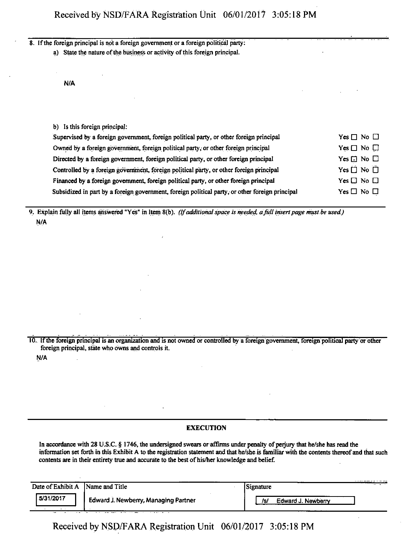8. If the foreign principal is not a foreign government or a foreign political party:

a) State the nature of the business or activity of this foreign principal.

N/A

| Yes $\Box$ No $\Box$ |
|----------------------|
| Yes $\Box$ No $\Box$ |
| Yes $\Box$ No $\Box$ |
| Yes $\Box$ No $\Box$ |
| Yes $\Box$ No $\Box$ |
| Yes $\Box$ No $\Box$ |
|                      |

9. Explain fully all items answered "Yes" in Item 8(b). (If additional space is needed, a full insert page must be used.) N/A

10. If the foreign principal is an organization and is not owned or controlled by a foreign government, foreign political party or other foreign principal, state who owns and controls it.

N/A

 $\overline{\phantom{a}}$ 

## **EXECUTION**

In accordance with 28 U.S.C. § 1746, the undersigned swears or affirms under penalty of perjury that he/she has read the infonnation set forth in this Exhibit A to the registration statement and that he/she is familiar with the contents thereof and that such contents are in their entirety true and accurate to the best of his/her knowledge and belief.

| Date of Exhibit A | Name and Title                              | - - -<br>Signature        |  |
|-------------------|---------------------------------------------|---------------------------|--|
| 5/31/2017<br>--   | <b>Edward J. Newberry, Managing Partner</b> | Edward J. Newberry<br>Isl |  |

 $\ddot{\phantom{1}}$ 

Received by NSD/FARA Registration Unit 06/01/2017 3:05:18 PM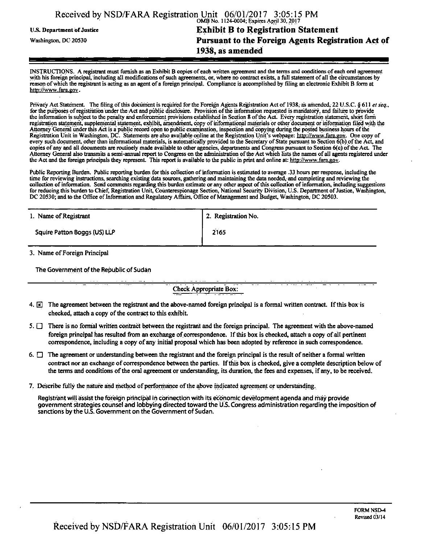|                            | Received by NSD/FARA Registration Unit 06/01/2017 3:05:15 PM<br>OMB No. 1124-0004; Expires April 30, 2017 |
|----------------------------|-----------------------------------------------------------------------------------------------------------|
| U.S. Department of Justice | <b>Exhibit B to Registration Statement</b>                                                                |
| Washington, DC 20530       | Pursuant to the Foreign Agents Registration Act of                                                        |
|                            | 1938, as amended                                                                                          |

INSTRUCTIONS. A registrant must furnish as an Exhibit B copies of each written agreement and the terms and conditions of each oral agreement with his foreign principal, including all modifications of such agreements, or, where no contract exists, a full statement of all the circumstances by reason of which the registrant is acting as an agent ofa foreign principal. Compliance is accomplished by filing an electronic Exhibit B form at http://www.fara.gov.

Privacy Act Statement. The filing of this document is required for the Foreign Agents Registration Act of 1938, as amended, 22 U.S.C. § 611 et seq., for the purposes of registration under the Act and public disclosure. Provision of the mformation requested is mandatory, and failure to provide the infonnation is subject to the penalty and enforcement provisions established in Section 8 of the Act. Every registration statement, short form registration statement, supplemental statement, exhibit, amendment, copy of informational materials or other document or infonnation filed with the Attorney General under this Act is a public record open to public examination, inspection and copying during the posted business hours of the Registration Unit in Washington, DC. Statements are also available online at the Registration Unit's webpage: http://www.fara.gov. One copy of every such document, other than informational materials, is automatically provided to the Secretary of State pursuant to Section 6(b) of the Act, and copies of any and all documents are routinely made available to other agencies, departments and Congress pursuant to Section 6(c) of the Act. The Attorney General also transmits a semi-annual report to Congress on the administration of the Act which lists the names of all agents registered under the Act and the foreign principals they represent. This report is available to the public in print and online at: http://www.fara.gov.

Public Reporting Burden. Public reporting burden for this collection of information is estimated to average .33 hours per response, including the time for reviewing instructions, searching existing data sources, gathering and maintaining the data needed, and completing and reviewing the collection of information. Send comments regarding this burden estimate or any other aspect of this collection of information, including suggestions for reducing this burden to Chief, Registration Unit, Counterespionage Section, National Security Division, U.S. Department of Justice, Washington, DC 20530; and to the Office of Information and Regulatory Affairs, Office of Management and Budget, Washington, DC 20503.

| 1. Name of Registrant        | 2. Registration No. |  |
|------------------------------|---------------------|--|
| Squire Patton Boggs (US) LLP | 2165                |  |

3. Name of Foreign Principal

The Government of the Republic of Sudan

Check Appropriate Box:

- 4.  $\boxed{\mathbf{z}}$  The agreement between the registrant and the above-named foreign principal is a formal written contract. If this box is checked, attach a copy of the contract to this exhibit.
- 5.  $\Box$  There is no formal written contract between the registrant and the foreign principal. The agreement with the above-named foreign principal has resulted from an exchange of correspondence. If this box is checked, attach a copy of all pertinent correspondence, including a copy of any initial proposal which has been adopted by reference in such correspondence.
- 6.  $\Box$  The agreement or understanding between the registrant and the foreign principal is the result of neither a formal written contract nor an exchange of correspondence between the parties. If this box is checked, give a complete description below of the terms and conditions of the oral agreement or understanding, its duration, the fees and expenses, if any, to be received.
- 7. Describe fully the nature arid method of performance of the above indicated agreement or understanding.

Registrant will assist the foreign principal in connection with its economic development agenda and may provide government strategies counsel and lobbying directed toward the US. Congress administration regarding the imposition of sanctions by the U.S. Government on the Government of Sudan.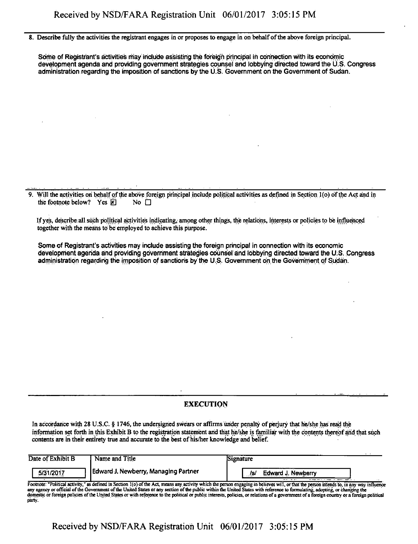8. Describe fully the activities the registrant engages in or proposes to engage in on behalf of the above foreign principal.

Some of Registrant's activities may include assisting the foreign principal in connection with its economic development agenda and providing government strategies counsel and lobbying directed toward the U.S. Congress administration regarding the imposition of sanctions by the U.S. Government on the Government of Sudan.

9. Will the activities on behalf of die above foreign principal include political activities as defined in Section l(o) of the Act and in the footnote below? Yes  $\overline{\mathbb{F}}$  No  $\Box$ 

If yes, describeiall such political activities indicating, among other things, the relations, interests or policies to be influenced together with the means to be employed to achieve this purpose.

Some of Registrant's activities may include assisting the foreign principal in connection with its economic development agenda and providing government strategies counsel and lobbying directed toward the U.S. Congress administration regarding the imposition of sanctions by the U.S. Government on the Government of Sudan.

## **EXECUTION**

In accordance with 28 U.S.C. § 1746, the undersigned swears or affirms under penalty of perjury that he/she has read the information set forth in this Exhibit B to the registration statement and that he/she is familiar with the contents thereof arid that such contents are in their entirety true and accurate to the best of his/her knowledge and belief.

| Date of Exhibit B | Name and Title                       | <b>Signature</b>                                                                                                                                                                    |        |
|-------------------|--------------------------------------|-------------------------------------------------------------------------------------------------------------------------------------------------------------------------------------|--------|
| 5/31/2017         | Edward J. Newberry, Managing Partner | Edward J. Newberry<br>/s.                                                                                                                                                           | $\sim$ |
|                   |                                      | Enchnote: "Dolitical activity," as defined in Region 1(o) of the Act means can extint ushed the person announce in believes will on that the person intends to in our way influence |        |

as defined in Section 1(0) of the Act, means any activity which the person engaging in believes will, or that the person intends to, in any way influence any agency or official of the Government of the United States or any section of the public within the United States with reference to formulating, adopting, or changing the domestic or foreign policies of the United States or with reference to the political or public interests, policies, or relations of a government of a foreign country or a foreign political party.

Received by NSD/FARA Registration Unit 06/01/2017 3:05:15 PM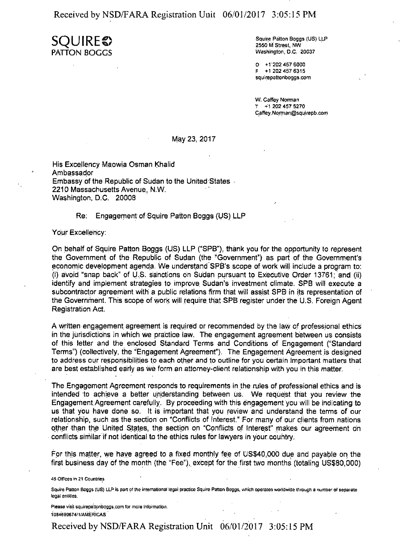Received by NSD/FARA Registration Unit 06/01/2017 3:05:15 PM

**SQUIRES)**  PATTON BUGGS

Squire Patton Boggs (US) LLP 2550 M Street, NW Washington, D.C. 20037

0 +1202 457 6000 F +1 202 457 6315 squirepattonboggs.com

W. Caffey Norman T +1 202 457 5270 Caffey. Nonnan@squirepb.com

## May 23, 2017

His Excellency Maowia Osman Khalid Ambassador Embassy of the Republic of Sudan to the United States - 2210 Massachusetts Avenue, N.W. Washington, D.C. 20008

## Re: Engagement of Squire Patton Boggs (US) LLP

Your Excellency:

On behalf of Squire Patton Boggs (US) LLP ("SPB"), thank you for the opportunity to represent the Government of the Republic of Sudan (the "Government") as part of the Government's economic development agenda. We understand'SPB's scope of work will include a program to: (i) avoid "snap back" of U.S. sanctions on Sudan pursuant to Executive Order 13781; and (ii) identify and implement strategies to improve Sudan's investment climate. SPB will execute a subcontractor agreement with a public relations firm that will assist SPB in its representation of the Government. This scope of work will require that SPB register under the U.S. Foreign Agent Registration Act.

A written engagement agreement is required or recommended by the law of professional ethics in the jurisdictions in which we practice law. The engagement agreement between us consists of this letter and the enclosed Standard Terms and Conditions of Engagement {"Standard Terms") (collectively, the "Engagement Agreement"). The Engagement Agreement is designed to address our responsibilities to each other and to outline for you certain important matters that are best established early as we form an attorney-client relationship with you in this matter.

The Engagement Agreement responds to requirements in the rules of professional ethics and is intended to achieve a better understanding between us. We request that you review the Engagement.Agreement carefully. By proceeding with this engagement you will be indicating to us that you have done so. It is important that you review and understand the terms of our relationship, such as the section on "Conflicts of Interest." For many of our clients from nations other than the United States, the section on "Conflicts of Interest" makes our agreement on conflicts similar if not identical to the ethics rules for lawyers in your country.

For this matter, we have agreed to a fixed monthly fee of US\$40,000 due and payable on the first business day of the month (the "Fee"), except for the first two months (totaling US\$80,000)

45 Offices in 21 Countries

Squire Patton Boggs (US) LLP is pan of the international legal practice Squire Patton Boggs, which operates worldwide through a number of separate legal entitles.

Please visit squirepattonboggs.com for more information. ia94899674/t/AMERiCAS ' ' '

Received by NSD/FARA Registration Unit 06/01/2017 3:05:15 PM